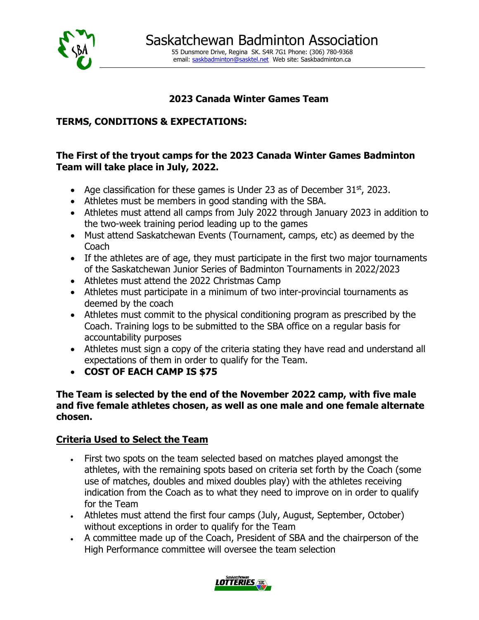

# **2023 Canada Winter Games Team**

## **TERMS, CONDITIONS & EXPECTATIONS:**

## **The First of the tryout camps for the 2023 Canada Winter Games Badminton Team will take place in July, 2022.**

- Age classification for these games is Under 23 as of December  $31<sup>st</sup>$ , 2023.
- Athletes must be members in good standing with the SBA.
- Athletes must attend all camps from July 2022 through January 2023 in addition to the two-week training period leading up to the games
- Must attend Saskatchewan Events (Tournament, camps, etc) as deemed by the Coach
- If the athletes are of age, they must participate in the first two major tournaments of the Saskatchewan Junior Series of Badminton Tournaments in 2022/2023
- Athletes must attend the 2022 Christmas Camp
- Athletes must participate in a minimum of two inter-provincial tournaments as deemed by the coach
- Athletes must commit to the physical conditioning program as prescribed by the Coach. Training logs to be submitted to the SBA office on a regular basis for accountability purposes
- Athletes must sign a copy of the criteria stating they have read and understand all expectations of them in order to qualify for the Team.
- **COST OF EACH CAMP IS \$75**

#### **The Team is selected by the end of the November 2022 camp, with five male and five female athletes chosen, as well as one male and one female alternate chosen.**

## **Criteria Used to Select the Team**

- First two spots on the team selected based on matches played amongst the athletes, with the remaining spots based on criteria set forth by the Coach (some use of matches, doubles and mixed doubles play) with the athletes receiving indication from the Coach as to what they need to improve on in order to qualify for the Team
- Athletes must attend the first four camps (July, August, September, October) without exceptions in order to qualify for the Team
- A committee made up of the Coach, President of SBA and the chairperson of the High Performance committee will oversee the team selection

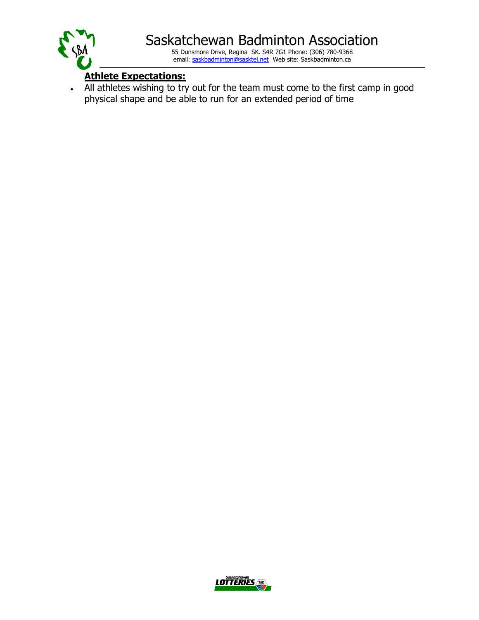

## **Athlete Expectations:**

• All athletes wishing to try out for the team must come to the first camp in good physical shape and be able to run for an extended period of time